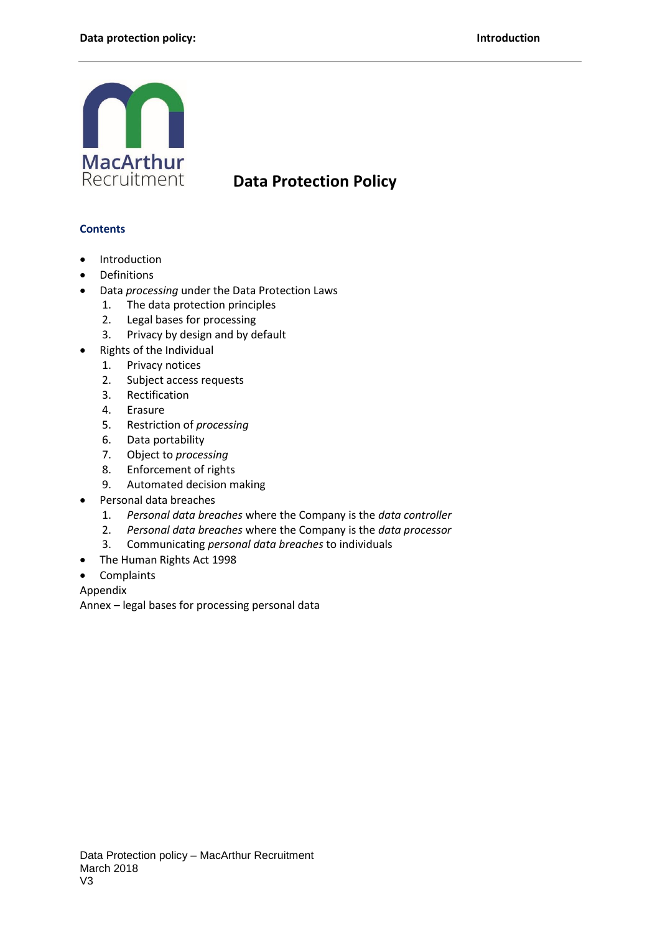

# **Recruitment Data Protection Policy**

## **Contents**

- Introduction
- **Definitions**
- Data *processing* under the Data Protection Laws
	- 1. The data protection principles
	- 2. Legal bases for processing
	- 3. Privacy by design and by default
	- Rights of the Individual
		- 1. Privacy notices
		- 2. Subject access requests
		- 3. Rectification
		- 4. Erasure
		- 5. Restriction of *processing*
		- 6. Data portability
		- 7. Object to *processing*
		- 8. Enforcement of rights
		- 9. Automated decision making
- Personal data breaches
	- 1. *Personal data breaches* where the Company is the *data controller*
	- 2. *Personal data breaches* where the Company is the *data processor*
	- 3. Communicating *personal data breaches* to individuals
- The Human Rights Act 1998
- **Complaints**

Appendix

Annex – legal bases for processing personal data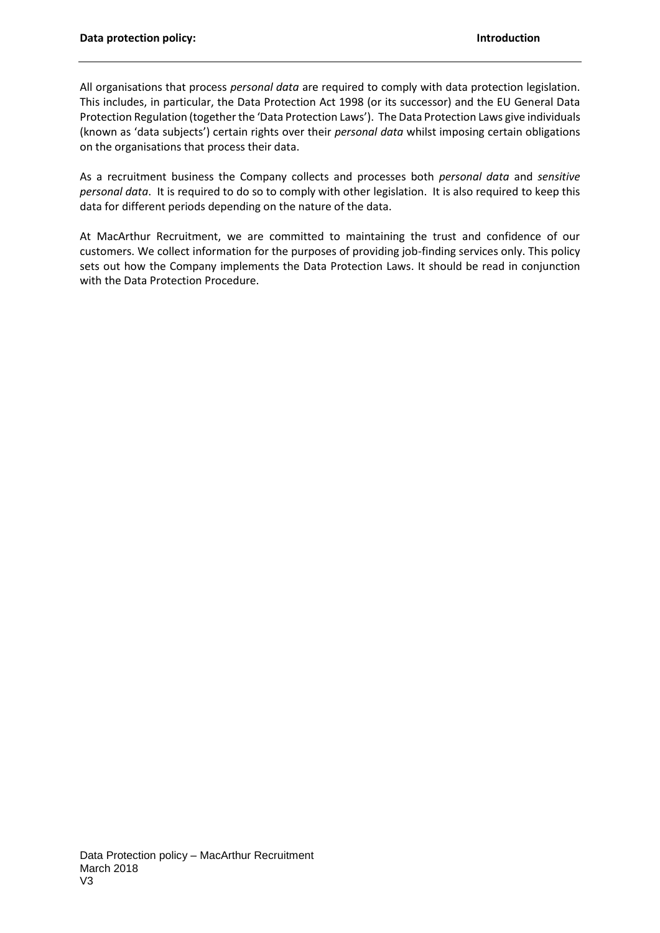All organisations that process *personal data* are required to comply with data protection legislation. This includes, in particular, the Data Protection Act 1998 (or its successor) and the EU General Data Protection Regulation (together the 'Data Protection Laws'). The Data Protection Laws give individuals (known as 'data subjects') certain rights over their *personal data* whilst imposing certain obligations on the organisations that process their data.

As a recruitment business the Company collects and processes both *personal data* and *sensitive personal data*. It is required to do so to comply with other legislation. It is also required to keep this data for different periods depending on the nature of the data.

At MacArthur Recruitment, we are committed to maintaining the trust and confidence of our customers. We collect information for the purposes of providing job-finding services only. This policy sets out how the Company implements the Data Protection Laws. It should be read in conjunction with the Data Protection Procedure.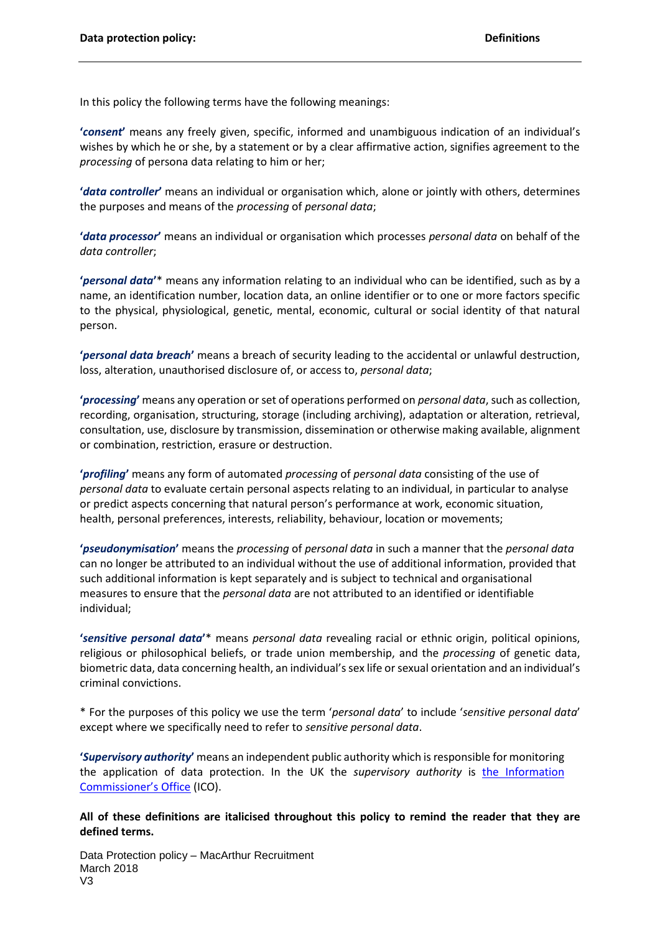In this policy the following terms have the following meanings:

**'***consent***'** means any freely given, specific, informed and unambiguous indication of an individual's wishes by which he or she, by a statement or by a clear affirmative action, signifies agreement to the *processing* of persona data relating to him or her;

**'***data controller***'** means an individual or organisation which, alone or jointly with others, determines the purposes and means of the *processing* of *personal data*;

**'***data processor***'** means an individual or organisation which processes *personal data* on behalf of the *data controller*;

**'***personal data***'**\* means any information relating to an individual who can be identified, such as by a name, an identification number, location data, an online identifier or to one or more factors specific to the physical, physiological, genetic, mental, economic, cultural or social identity of that natural person.

**'***personal data breach***'** means a breach of security leading to the accidental or unlawful destruction, loss, alteration, unauthorised disclosure of, or access to, *personal data*;

**'***processing***'** means any operation or set of operations performed on *personal data*, such as collection, recording, organisation, structuring, storage (including archiving), adaptation or alteration, retrieval, consultation, use, disclosure by transmission, dissemination or otherwise making available, alignment or combination, restriction, erasure or destruction.

**'***profiling***'** means any form of automated *processing* of *personal data* consisting of the use of *personal data* to evaluate certain personal aspects relating to an individual, in particular to analyse or predict aspects concerning that natural person's performance at work, economic situation, health, personal preferences, interests, reliability, behaviour, location or movements;

**'***pseudonymisation***'** means the *processing* of *personal data* in such a manner that the *personal data* can no longer be attributed to an individual without the use of additional information, provided that such additional information is kept separately and is subject to technical and organisational measures to ensure that the *personal data* are not attributed to an identified or identifiable individual;

**'***sensitive personal data***'**\* means *personal data* revealing racial or ethnic origin, political opinions, religious or philosophical beliefs, or trade union membership, and the *processing* of genetic data, biometric data, data concerning health, an individual's sex life or sexual orientation and an individual's criminal convictions.

\* For the purposes of this policy we use the term '*personal data*' to include '*sensitive personal data*' except where we specifically need to refer to *sensitive personal data*.

**'***Supervisory authority***'** means an independent public authority which is responsible for monitoring the application of data protection. In the UK the *supervisory authority* is [the Information](https://ico.org.uk/)  [Commissioner's Office](https://ico.org.uk/) (ICO).

**All of these definitions are italicised throughout this policy to remind the reader that they are defined terms.**

Data Protection policy – MacArthur Recruitment March 2018 V3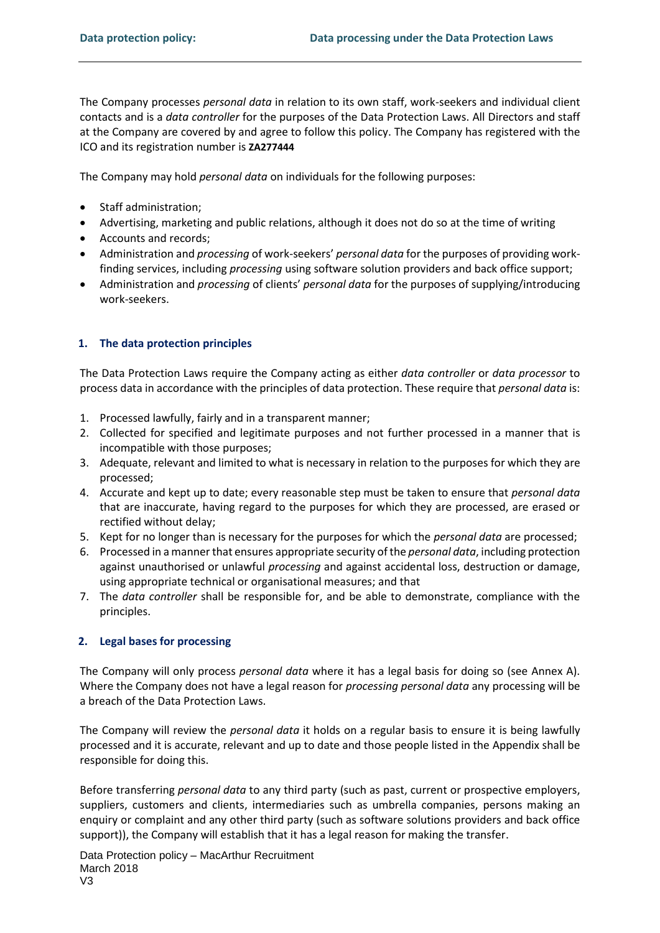The Company processes *personal data* in relation to its own staff, work-seekers and individual client contacts and is a *data controller* for the purposes of the Data Protection Laws. All Directors and staff at the Company are covered by and agree to follow this policy. The Company has registered with the ICO and its registration number is **ZA277444**

The Company may hold *personal data* on individuals for the following purposes:

- Staff administration;
- Advertising, marketing and public relations, although it does not do so at the time of writing
- Accounts and records;
- Administration and *processing* of work-seekers' *personal data* for the purposes of providing workfinding services, including *processing* using software solution providers and back office support;
- Administration and *processing* of clients' *personal data* for the purposes of supplying/introducing work-seekers.

## **1. The data protection principles**

The Data Protection Laws require the Company acting as either *data controller* or *data processor* to process data in accordance with the principles of data protection. These require that *personal data* is:

- 1. Processed lawfully, fairly and in a transparent manner;
- 2. Collected for specified and legitimate purposes and not further processed in a manner that is incompatible with those purposes;
- 3. Adequate, relevant and limited to what is necessary in relation to the purposes for which they are processed;
- 4. Accurate and kept up to date; every reasonable step must be taken to ensure that *personal data* that are inaccurate, having regard to the purposes for which they are processed, are erased or rectified without delay;
- 5. Kept for no longer than is necessary for the purposes for which the *personal data* are processed;
- 6. Processed in a manner that ensures appropriate security of the *personal data*, including protection against unauthorised or unlawful *processing* and against accidental loss, destruction or damage, using appropriate technical or organisational measures; and that
- 7. The *data controller* shall be responsible for, and be able to demonstrate, compliance with the principles.

## **2. Legal bases for processing**

The Company will only process *personal data* where it has a legal basis for doing so (see Annex A). Where the Company does not have a legal reason for *processing personal data* any processing will be a breach of the Data Protection Laws.

The Company will review the *personal data* it holds on a regular basis to ensure it is being lawfully processed and it is accurate, relevant and up to date and those people listed in the Appendix shall be responsible for doing this.

Before transferring *personal data* to any third party (such as past, current or prospective employers, suppliers, customers and clients, intermediaries such as umbrella companies, persons making an enquiry or complaint and any other third party (such as software solutions providers and back office support)), the Company will establish that it has a legal reason for making the transfer.

Data Protection policy – MacArthur Recruitment March 2018 V3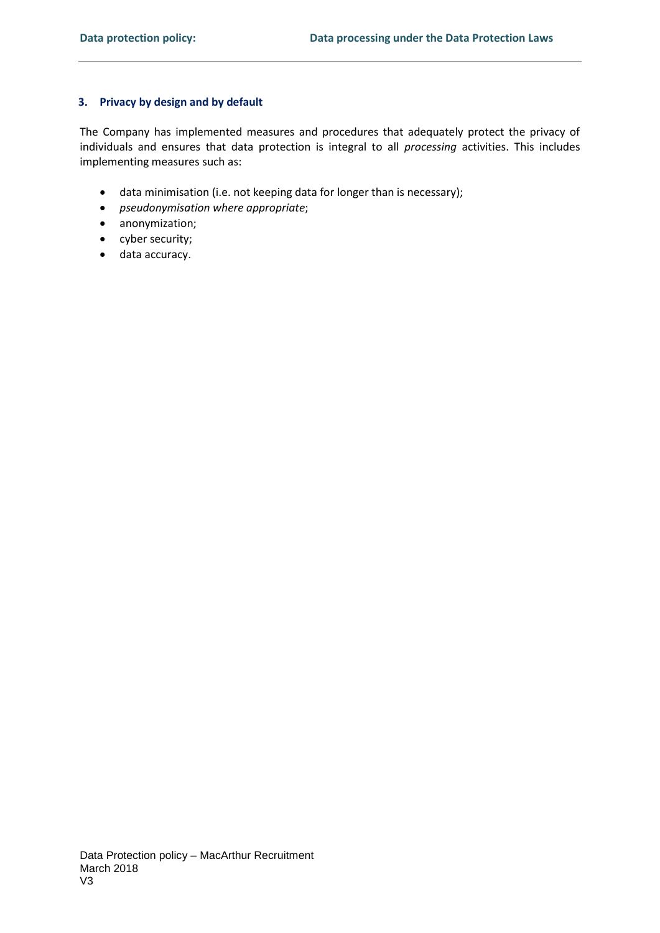## **3. Privacy by design and by default**

The Company has implemented measures and procedures that adequately protect the privacy of individuals and ensures that data protection is integral to all *processing* activities. This includes implementing measures such as:

- data minimisation (i.e. not keeping data for longer than is necessary);
- *pseudonymisation where appropriate*;
- anonymization;
- cyber security;
- data accuracy.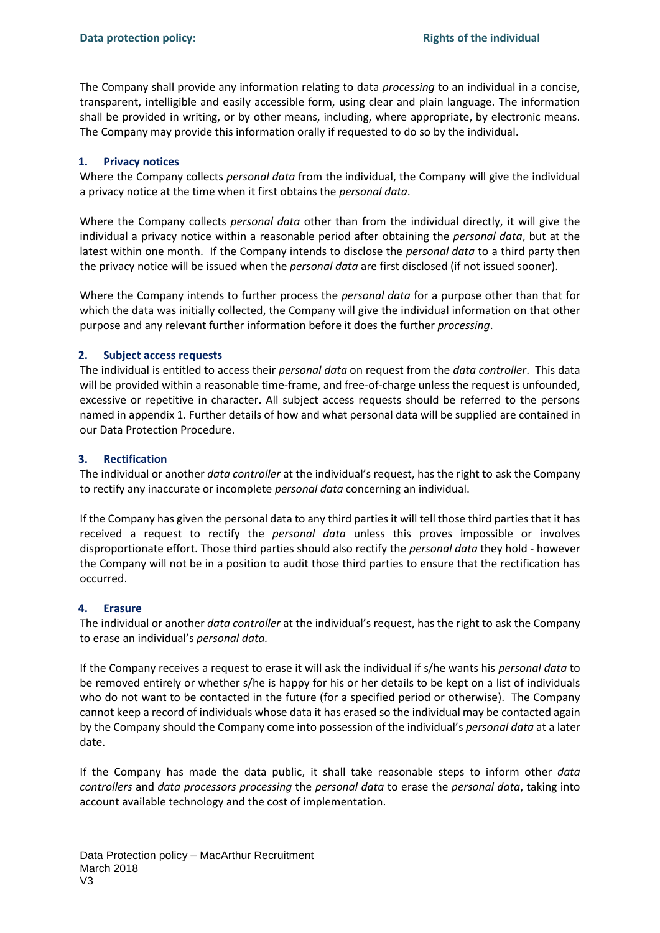The Company shall provide any information relating to data *processing* to an individual in a concise, transparent, intelligible and easily accessible form, using clear and plain language. The information shall be provided in writing, or by other means, including, where appropriate, by electronic means. The Company may provide this information orally if requested to do so by the individual.

## **1. Privacy notices**

Where the Company collects *personal data* from the individual, the Company will give the individual a privacy notice at the time when it first obtains the *personal data*.

Where the Company collects *personal data* other than from the individual directly, it will give the individual a privacy notice within a reasonable period after obtaining the *personal data*, but at the latest within one month. If the Company intends to disclose the *personal data* to a third party then the privacy notice will be issued when the *personal data* are first disclosed (if not issued sooner).

Where the Company intends to further process the *personal data* for a purpose other than that for which the data was initially collected, the Company will give the individual information on that other purpose and any relevant further information before it does the further *processing*.

## **2. Subject access requests**

The individual is entitled to access their *personal data* on request from the *data controller*. This data will be provided within a reasonable time-frame, and free-of-charge unless the request is unfounded, excessive or repetitive in character. All subject access requests should be referred to the persons named in appendix 1. Further details of how and what personal data will be supplied are contained in our Data Protection Procedure.

## **3. Rectification**

The individual or another *data controller* at the individual's request, has the right to ask the Company to rectify any inaccurate or incomplete *personal data* concerning an individual.

If the Company has given the personal data to any third parties it will tell those third parties that it has received a request to rectify the *personal data* unless this proves impossible or involves disproportionate effort. Those third parties should also rectify the *personal data* they hold - however the Company will not be in a position to audit those third parties to ensure that the rectification has occurred.

#### **4. Erasure**

The individual or another *data controller* at the individual's request, has the right to ask the Company to erase an individual's *personal data.* 

If the Company receives a request to erase it will ask the individual if s/he wants his *personal data* to be removed entirely or whether s/he is happy for his or her details to be kept on a list of individuals who do not want to be contacted in the future (for a specified period or otherwise). The Company cannot keep a record of individuals whose data it has erased so the individual may be contacted again by the Company should the Company come into possession of the individual's *personal data* at a later date.

If the Company has made the data public, it shall take reasonable steps to inform other *data controllers* and *data processors processing* the *personal data* to erase the *personal data*, taking into account available technology and the cost of implementation.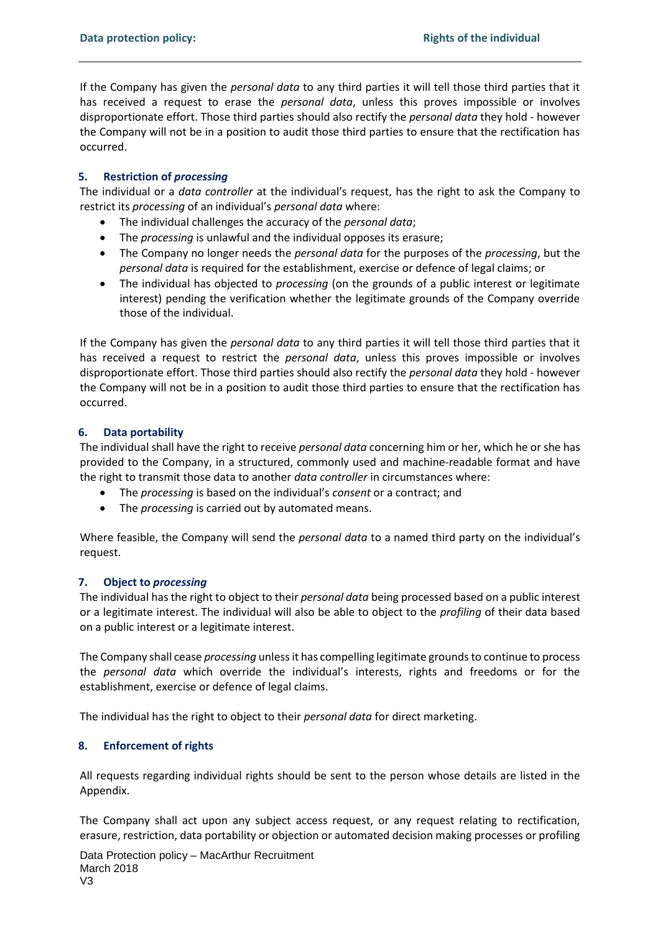If the Company has given the *personal data* to any third parties it will tell those third parties that it has received a request to erase the *personal data*, unless this proves impossible or involves disproportionate effort. Those third parties should also rectify the *personal data* they hold - however the Company will not be in a position to audit those third parties to ensure that the rectification has occurred.

## **5. Restriction of** *processing*

The individual or a *data controller* at the individual's request, has the right to ask the Company to restrict its *processing* of an individual's *personal data* where:

- The individual challenges the accuracy of the *personal data*;
- The *processing* is unlawful and the individual opposes its erasure;
- The Company no longer needs the *personal data* for the purposes of the *processing*, but the *personal data* is required for the establishment, exercise or defence of legal claims; or
- The individual has objected to *processing* (on the grounds of a public interest or legitimate interest) pending the verification whether the legitimate grounds of the Company override those of the individual.

If the Company has given the *personal data* to any third parties it will tell those third parties that it has received a request to restrict the *personal data*, unless this proves impossible or involves disproportionate effort. Those third parties should also rectify the *personal data* they hold - however the Company will not be in a position to audit those third parties to ensure that the rectification has occurred.

## **6. Data portability**

The individual shall have the right to receive *personal data* concerning him or her, which he or she has provided to the Company, in a structured, commonly used and machine-readable format and have the right to transmit those data to another *data controller* in circumstances where:

- The *processing* is based on the individual's *consent* or a contract; and
- The *processing* is carried out by automated means.

Where feasible, the Company will send the *personal data* to a named third party on the individual's request.

## **7. Object to** *processing*

The individual hasthe right to object to their *personal data* being processed based on a public interest or a legitimate interest. The individual will also be able to object to the *profiling* of their data based on a public interest or a legitimate interest.

The Company shall cease *processing* unless it has compelling legitimate grounds to continue to process the *personal data* which override the individual's interests, rights and freedoms or for the establishment, exercise or defence of legal claims.

The individual has the right to object to their *personal data* for direct marketing.

## **8. Enforcement of rights**

All requests regarding individual rights should be sent to the person whose details are listed in the Appendix.

The Company shall act upon any subject access request, or any request relating to rectification, erasure, restriction, data portability or objection or automated decision making processes or profiling

Data Protection policy – MacArthur Recruitment March 2018 V3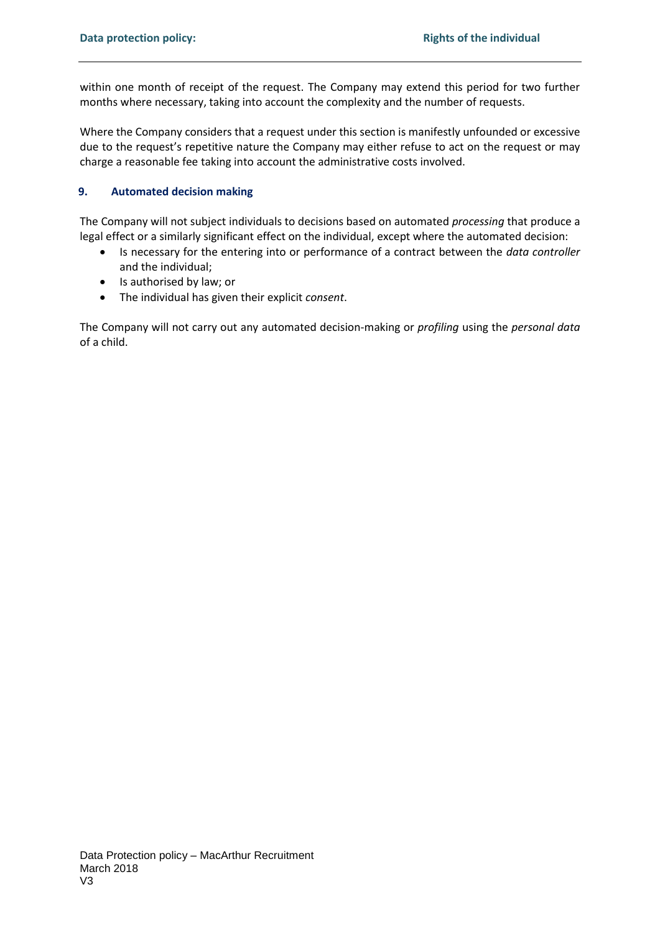within one month of receipt of the request. The Company may extend this period for two further months where necessary, taking into account the complexity and the number of requests.

Where the Company considers that a request under this section is manifestly unfounded or excessive due to the request's repetitive nature the Company may either refuse to act on the request or may charge a reasonable fee taking into account the administrative costs involved.

## **9. Automated decision making**

The Company will not subject individuals to decisions based on automated *processing* that produce a legal effect or a similarly significant effect on the individual, except where the automated decision:

- Is necessary for the entering into or performance of a contract between the *data controller* and the individual;
- Is authorised by law; or
- The individual has given their explicit *consent*.

The Company will not carry out any automated decision-making or *profiling* using the *personal data* of a child.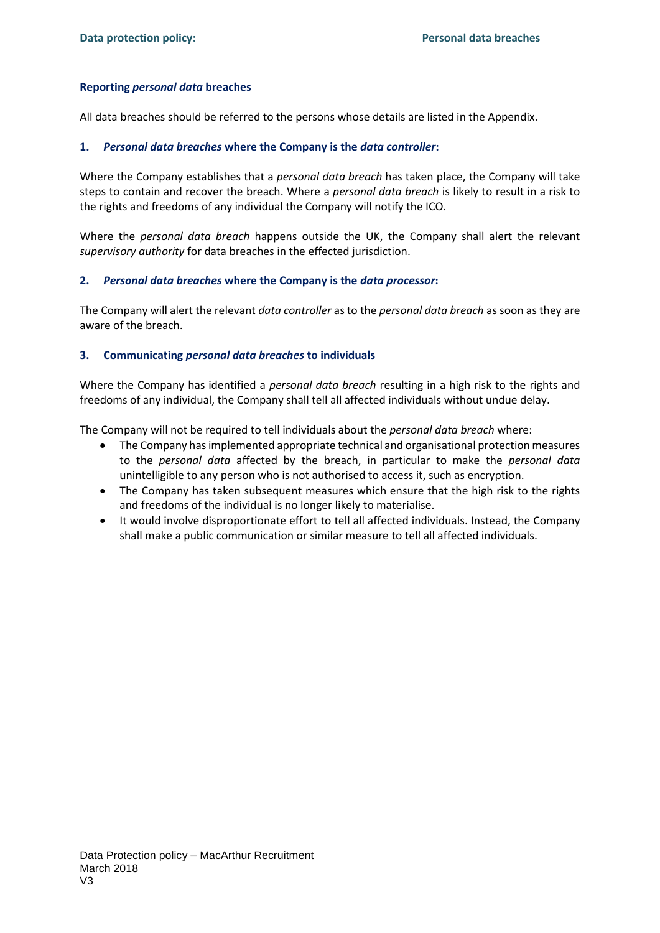## **Reporting** *personal data* **breaches**

All data breaches should be referred to the persons whose details are listed in the Appendix.

## **1.** *Personal data breaches* **where the Company is the** *data controller***:**

Where the Company establishes that a *personal data breach* has taken place, the Company will take steps to contain and recover the breach. Where a *personal data breach* is likely to result in a risk to the rights and freedoms of any individual the Company will notify the ICO.

Where the *personal data breach* happens outside the UK, the Company shall alert the relevant *supervisory authority* for data breaches in the effected jurisdiction.

## **2.** *Personal data breaches* **where the Company is the** *data processor***:**

The Company will alert the relevant *data controller* as to the *personal data breach* as soon as they are aware of the breach.

## **3. Communicating** *personal data breaches* **to individuals**

Where the Company has identified a *personal data breach* resulting in a high risk to the rights and freedoms of any individual, the Company shall tell all affected individuals without undue delay.

The Company will not be required to tell individuals about the *personal data breach* where:

- The Company has implemented appropriate technical and organisational protection measures to the *personal data* affected by the breach, in particular to make the *personal data* unintelligible to any person who is not authorised to access it, such as encryption.
- The Company has taken subsequent measures which ensure that the high risk to the rights and freedoms of the individual is no longer likely to materialise.
- It would involve disproportionate effort to tell all affected individuals. Instead, the Company shall make a public communication or similar measure to tell all affected individuals.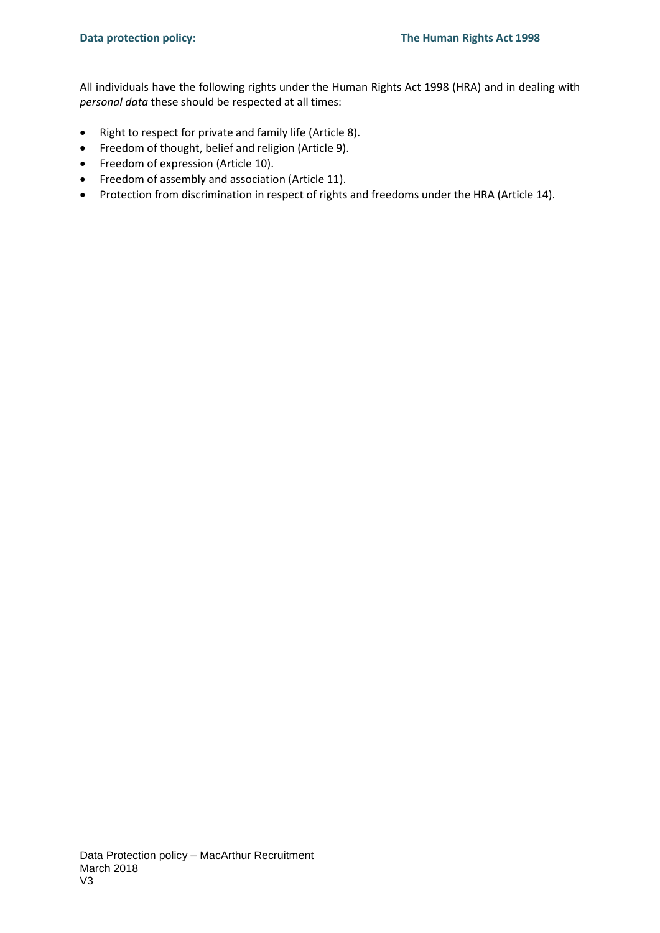All individuals have the following rights under the Human Rights Act 1998 (HRA) and in dealing with *personal data* these should be respected at all times:

- Right to respect for private and family life (Article 8).
- Freedom of thought, belief and religion (Article 9).
- Freedom of expression (Article 10).
- Freedom of assembly and association (Article 11).
- Protection from discrimination in respect of rights and freedoms under the HRA (Article 14).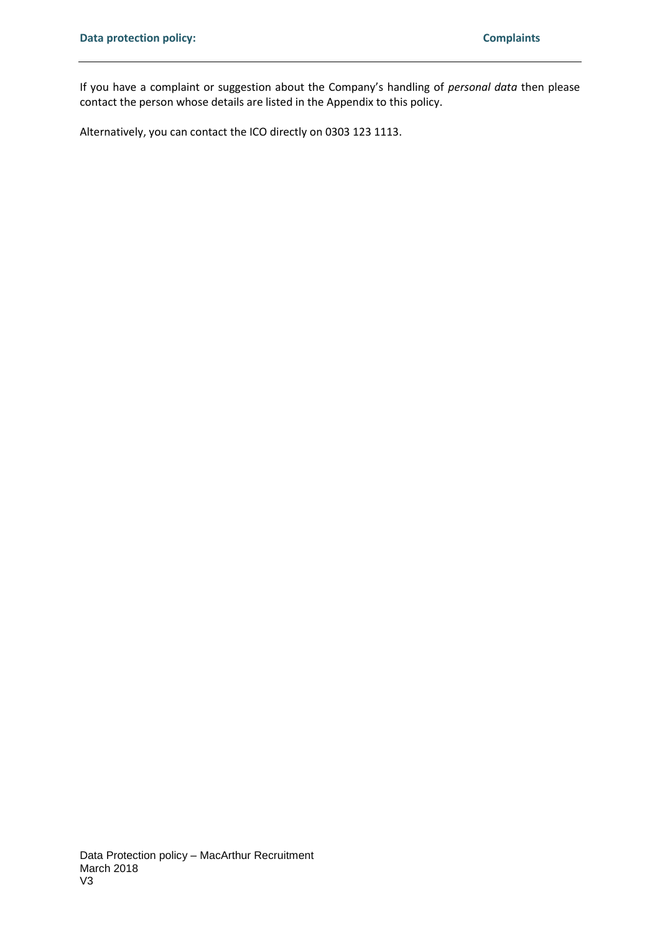If you have a complaint or suggestion about the Company's handling of *personal data* then please contact the person whose details are listed in the Appendix to this policy.

Alternatively, you can contact the ICO directly on 0303 123 1113.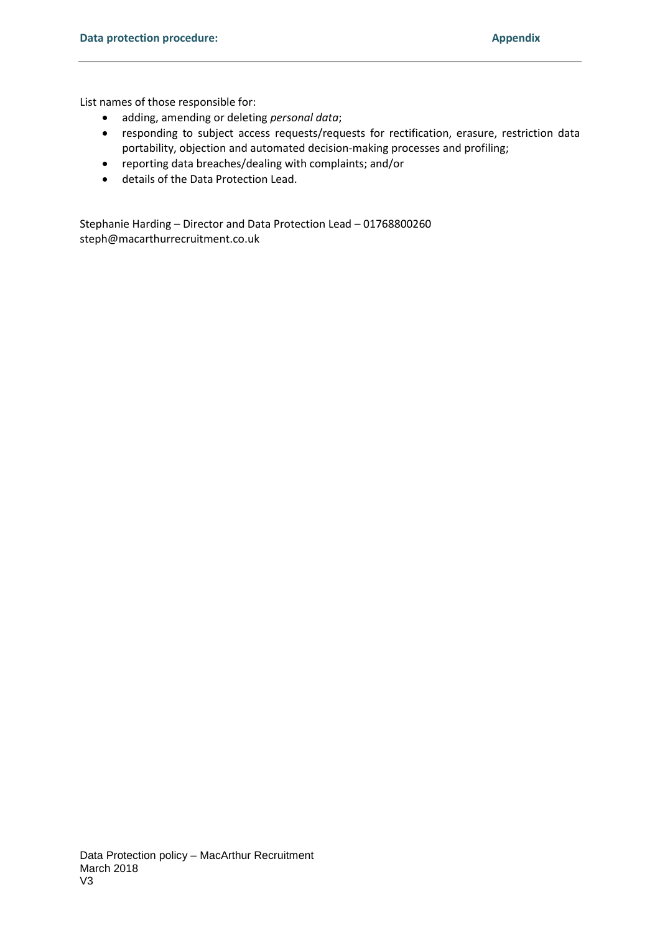List names of those responsible for:

- adding, amending or deleting *personal data*;
- responding to subject access requests/requests for rectification, erasure, restriction data portability, objection and automated decision-making processes and profiling;
- reporting data breaches/dealing with complaints; and/or
- details of the Data Protection Lead.

Stephanie Harding – Director and Data Protection Lead – 01768800260 steph@macarthurrecruitment.co.uk